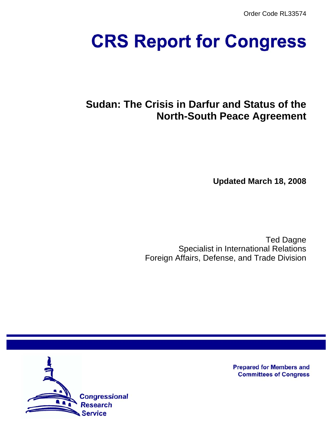Order Code RL33574

# **CRS Report for Congress**

# **Sudan: The Crisis in Darfur and Status of the North-South Peace Agreement**

**Updated March 18, 2008**

Ted Dagne Specialist in International Relations Foreign Affairs, Defense, and Trade Division



**Prepared for Members and Committees of Congress**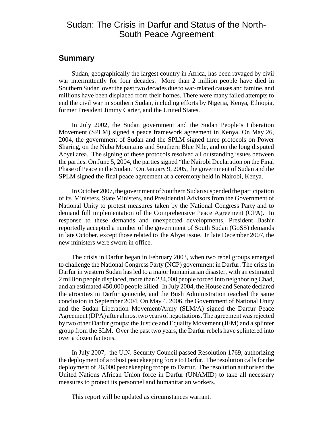# Sudan: The Crisis in Darfur and Status of the North-South Peace Agreement

# **Summary**

Sudan, geographically the largest country in Africa, has been ravaged by civil war intermittently for four decades. More than 2 million people have died in Southern Sudan over the past two decades due to war-related causes and famine, and millions have been displaced from their homes. There were many failed attempts to end the civil war in southern Sudan, including efforts by Nigeria, Kenya, Ethiopia, former President Jimmy Carter, and the United States.

In July 2002, the Sudan government and the Sudan People's Liberation Movement (SPLM) signed a peace framework agreement in Kenya. On May 26, 2004, the government of Sudan and the SPLM signed three protocols on Power Sharing, on the Nuba Mountains and Southern Blue Nile, and on the long disputed Abyei area. The signing of these protocols resolved all outstanding issues between the parties. On June 5, 2004, the parties signed "the Nairobi Declaration on the Final Phase of Peace in the Sudan." On January 9, 2005, the government of Sudan and the SPLM signed the final peace agreement at a ceremony held in Nairobi, Kenya.

In October 2007, the government of Southern Sudan suspended the participation of its Ministers, State Ministers, and Presidential Advisors from the Government of National Unity to protest measures taken by the National Congress Party and to demand full implementation of the Comprehensive Peace Agreement (CPA). In response to these demands and unexpected developments, President Bashir reportedly accepted a number of the government of South Sudan (GoSS) demands in late October, except those related to the Abyei issue. In late December 2007, the new ministers were sworn in office.

The crisis in Darfur began in February 2003, when two rebel groups emerged to challenge the National Congress Party (NCP) government in Darfur. The crisis in Darfur in western Sudan has led to a major humanitarian disaster, with an estimated 2 million people displaced, more than 234,000 people forced into neighboring Chad, and an estimated 450,000 people killed. In July 2004, the House and Senate declared the atrocities in Darfur genocide, and the Bush Administration reached the same conclusion in September 2004. On May 4, 2006, the Government of National Unity and the Sudan Liberation Movement/Army (SLM/A) signed the Darfur Peace Agreement (DPA) after almost two years of negotiations. The agreement was rejected by two other Darfur groups: the Justice and Equality Movement (JEM) and a splinter group from the SLM. Over the past two years, the Darfur rebels have splintered into over a dozen factions.

In July 2007, the U.N. Security Council passed Resolution 1769, authorizing the deployment of a robust peacekeeping force to Darfur. The resolution calls for the deployment of 26,000 peacekeeping troops to Darfur. The resolution authorised the United Nations African Union force in Darfur (UNAMID) to take all necessary measures to protect its personnel and humanitarian workers.

This report will be updated as circumstances warrant.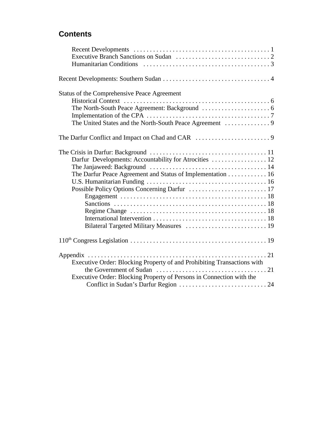# **Contents**

| Status of the Comprehensive Peace Agreement                             |
|-------------------------------------------------------------------------|
|                                                                         |
|                                                                         |
|                                                                         |
|                                                                         |
| The Darfur Peace Agreement and Status of Implementation 16              |
|                                                                         |
|                                                                         |
|                                                                         |
|                                                                         |
|                                                                         |
|                                                                         |
|                                                                         |
|                                                                         |
| Appendix                                                                |
| Executive Order: Blocking Property of and Prohibiting Transactions with |
|                                                                         |
| Executive Order: Blocking Property of Persons in Connection with the    |
|                                                                         |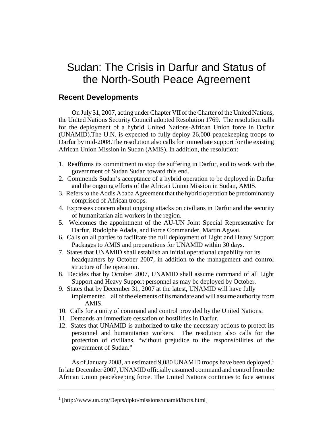# Sudan: The Crisis in Darfur and Status of the North-South Peace Agreement

# **Recent Developments**

On July 31, 2007, acting under Chapter VII of the Charter of the United Nations, the United Nations Security Council adopted Resolution 1769. The resolution calls for the deployment of a hybrid United Nations-African Union force in Darfur (UNAMID).The U.N. is expected to fully deploy 26,000 peacekeeping troops to Darfur by mid-2008.The resolution also calls for immediate support for the existing African Union Mission in Sudan (AMIS). In addition, the resolution:

- 1. Reaffirms its commitment to stop the suffering in Darfur, and to work with the government of Sudan Sudan toward this end.
- 2. Commends Sudan's acceptance of a hybrid operation to be deployed in Darfur and the ongoing efforts of the African Union Mission in Sudan, AMIS.
- 3. Refers to the Addis Ababa Agreement that the hybrid operation be predominantly comprised of African troops.
- 4. Expresses concern about ongoing attacks on civilians in Darfur and the security of humanitarian aid workers in the region.
- 5. Welcomes the appointment of the AU-UN Joint Special Representative for Darfur, Rodolphe Adada, and Force Commander, Martin Agwai.
- 6. Calls on all parties to facilitate the full deployment of Light and Heavy Support Packages to AMIS and preparations for UNAMID within 30 days.
- 7. States that UNAMID shall establish an initial operational capability for its headquarters by October 2007, in addition to the management and control structure of the operation.
- 8. Decides that by October 2007, UNAMID shall assume command of all Light Support and Heavy Support personnel as may be deployed by October.
- 9. States that by December 31, 2007 at the latest, UNAMID will have fully implemented all of the elements of its mandate and will assume authority from AMIS.
- 10. Calls for a unity of command and control provided by the United Nations.
- 11. Demands an immediate cessation of hostilities in Darfur.
- 12. States that UNAMID is authorized to take the necessary actions to protect its personnel and humanitarian workers. The resolution also calls for the protection of civilians, "without prejudice to the responsibilities of the government of Sudan."

As of January 2008, an estimated 9,080 UNAMID troops have been deployed.<sup>1</sup> In late December 2007, UNAMID officially assumed command and control from the African Union peacekeeping force. The United Nations continues to face serious

<sup>&</sup>lt;sup>1</sup> [http://www.un.org/Depts/dpko/missions/unamid/facts.html]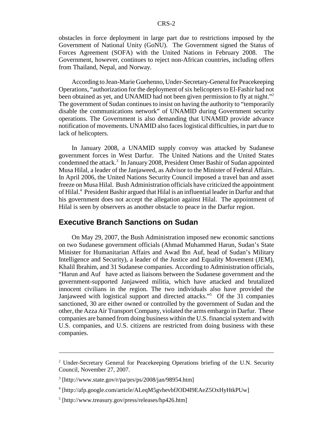obstacles in force deployment in large part due to restrictions imposed by the Government of National Unity (GoNU). The Government signed the Status of Forces Agreement (SOFA) with the United Nations in February 2008. The Government, however, continues to reject non-African countries, including offers from Thailand, Nepal, and Norway.

According to Jean-Marie Guehenno, Under-Secretary-General for Peacekeeping Operations, "authorization for the deployment of six helicopters to El-Fashir had not been obtained as yet, and UNAMID had not been given permission to fly at night."<sup>2</sup> The government of Sudan continues to insist on having the authority to "temporarily disable the communications network" of UNAMID during Government security operations. The Government is also demanding that UNAMID provide advance notification of movements. UNAMID also faces logistical difficulties, in part due to lack of helicopters.

In January 2008, a UNAMID supply convoy was attacked by Sudanese government forces in West Darfur. The United Nations and the United States condemned the attack.<sup>3</sup> In January 2008, President Omer Bashir of Sudan appointed Musa Hilal, a leader of the Janjaweed, as Advisor to the Minister of Federal Affairs. In April 2006, the United Nations Security Council imposed a travel ban and asset freeze on Musa Hilal. Bush Administration officials have criticized the appointment of Hilal.<sup>4</sup> President Bashir argued that Hilal is an influential leader in Darfur and that his government does not accept the allegation against Hilal. The appointment of Hilal is seen by observers as another obstacle to peace in the Darfur region.

# **Executive Branch Sanctions on Sudan**

On May 29, 2007, the Bush Administration imposed new economic sanctions on two Sudanese government officials (Ahmad Muhammed Harun, Sudan's State Minister for Humanitarian Affairs and Awad Ibn Auf, head of Sudan's Military Intelligence and Security), a leader of the Justice and Equality Movement (JEM), Khalil Ibrahim, and 31 Sudanese companies. According to Administration officials, "Harun and Auf have acted as liaisons between the Sudanese government and the government-supported Janjaweed militia, which have attacked and brutalized innocent civilians in the region. The two individuals also have provided the Janjaweed with logistical support and directed attacks."5 Of the 31 companies sanctioned, 30 are either owned or controlled by the government of Sudan and the other, the Azza Air Transport Company, violated the arms embargo in Darfur. These companies are banned from doing business within the U.S. financial system and with U.S. companies, and U.S. citizens are restricted from doing business with these companies.

<sup>&</sup>lt;sup>2</sup> Under-Secretary General for Peacekeeping Operations briefing of the U.N. Security Council, November 27, 2007.

<sup>3</sup> [http://www.state.gov/r/pa/prs/ps/2008/jan/98954.htm]

<sup>4</sup> [http://afp.google.com/article/ALeqM5gvhevbfJOD4I9EAeZ5OxHyHtkPUw]

<sup>5</sup> [http://www.treasury.gov/press/releases/hp426.htm]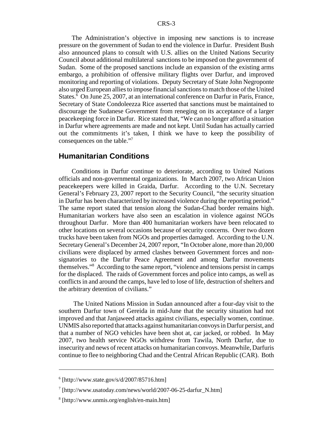The Administration's objective in imposing new sanctions is to increase pressure on the government of Sudan to end the violence in Darfur. President Bush also announced plans to consult with U.S. allies on the United Nations Security Council about additional multilateral sanctions to be imposed on the government of Sudan. Some of the proposed sanctions include an expansion of the existing arms embargo, a prohibition of offensive military flights over Darfur, and improved monitoring and reporting of violations. Deputy Secretary of State John Negroponte also urged European allies to impose financial sanctions to match those of the United States.<sup>6</sup> On June 25, 2007, at an international conference on Darfur in Paris, France, Secretary of State Condoleezza Rice asserted that sanctions must be maintained to discourage the Sudanese Government from reneging on its acceptance of a larger peacekeeping force in Darfur. Rice stated that, "We can no longer afford a situation in Darfur where agreements are made and not kept. Until Sudan has actually carried out the commitments it's taken, I think we have to keep the possibility of consequences on the table."7

#### **Humanitarian Conditions**

Conditions in Darfur continue to deteriorate, according to United Nations officials and non-governmental organizations. In March 2007, two African Union peacekeepers were killed in Graida, Darfur. According to the U.N. Secretary General's February 23, 2007 report to the Security Council, "the security situation in Darfur has been characterized by increased violence during the reporting period." The same report stated that tension along the Sudan-Chad border remains high. Humanitarian workers have also seen an escalation in violence against NGOs throughout Darfur. More than 400 humanitarian workers have been relocated to other locations on several occasions because of security concerns. Over two dozen trucks have been taken from NGOs and properties damaged. According to the U.N. Secretary General's December 24, 2007 report, "In October alone, more than 20,000 civilians were displaced by armed clashes between Government forces and nonsignatories to the Darfur Peace Agreement and among Darfur movements themselves."8 According to the same report, "violence and tensions persist in camps for the displaced. The raids of Government forces and police into camps, as well as conflicts in and around the camps, have led to lose of life, destruction of shelters and the arbitrary detention of civilians."

 The United Nations Mission in Sudan announced after a four-day visit to the southern Darfur town of Gereida in mid-June that the security situation had not improved and that Janjaweed attacks against civilians, especially women, continue. UNMIS also reported that attacks against humanitarian convoys in Darfur persist, and that a number of NGO vehicles have been shot at, car jacked, or robbed. In May 2007, two health service NGOs withdrew from Tawila, North Darfur, due to insecurity and news of recent attacks on humanitarian convoys. Meanwhile, Darfuris continue to flee to neighboring Chad and the Central African Republic (CAR). Both

 $6$  [http://www.state.gov/s/d/2007/85716.htm]

<sup>7</sup> [http://www.usatoday.com/news/world/2007-06-25-darfur\_N.htm]

<sup>8</sup> [http://www.unmis.org/english/en-main.htm]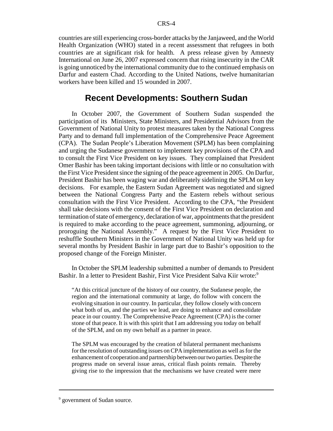countries are still experiencing cross-border attacks by the Janjaweed, and the World Health Organization (WHO) stated in a recent assessment that refugees in both countries are at significant risk for health. A press release given by Amnesty International on June 26, 2007 expressed concern that rising insecurity in the CAR is going unnoticed by the international community due to the continued emphasis on Darfur and eastern Chad. According to the United Nations, twelve humanitarian workers have been killed and 15 wounded in 2007.

# **Recent Developments: Southern Sudan**

In October 2007, the Government of Southern Sudan suspended the participation of its Ministers, State Ministers, and Presidential Advisors from the Government of National Unity to protest measures taken by the National Congress Party and to demand full implementation of the Comprehensive Peace Agreement (CPA). The Sudan People's Liberation Movement (SPLM) has been complaining and urging the Sudanese government to implement key provisions of the CPA and to consult the First Vice President on key issues. They complained that President Omer Bashir has been taking important decisions with little or no consultation with the First Vice President since the signing of the peace agreement in 2005. On Darfur, President Bashir has been waging war and deliberately sidelining the SPLM on key decisions. For example, the Eastern Sudan Agreement was negotiated and signed between the National Congress Party and the Eastern rebels without serious consultation with the First Vice President. According to the CPA, "the President shall take decisions with the consent of the First Vice President on declaration and termination of state of emergency, declaration of war, appointments that the president is required to make according to the peace agreement, summoning, adjourning, or proroguing the National Assembly." A request by the First Vice President to reshuffle Southern Ministers in the Government of National Unity was held up for several months by President Bashir in large part due to Bashir's opposition to the proposed change of the Foreign Minister.

In October the SPLM leadership submitted a number of demands to President Bashir. In a letter to President Bashir, First Vice President Salva Kiir wrote:<sup>9</sup>

"At this critical juncture of the history of our country, the Sudanese people, the region and the international community at large, do follow with concern the evolving situation in our country. In particular, they follow closely with concern what both of us, and the parties we lead, are doing to enhance and consolidate peace in our country. The Comprehensive Peace Agreement (CPA) is the corner stone of that peace. It is with this spirit that I am addressing you today on behalf of the SPLM, and on my own behalf as a partner in peace.

The SPLM was encouraged by the creation of bilateral permanent mechanisms for the resolution of outstanding issues on CPA implementation as well as for the enhancement of cooperation and partnership between our two parties. Despite the progress made on several issue areas, critical flash points remain. Thereby giving rise to the impression that the mechanisms we have created were mere

<sup>&</sup>lt;sup>9</sup> government of Sudan source.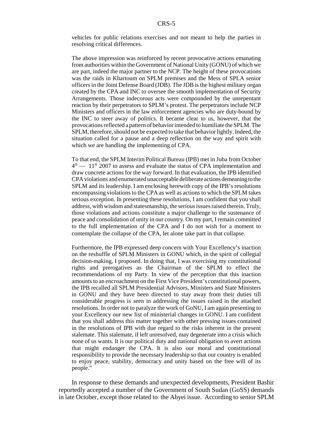vehicles for public relations exercises and not meant to help the parties in resolving critical differences.

The above impression was reinforced by recent provocative actions emanating from authorities within the Government of National Unity (GONU) of which we are part, indeed the major partner to the NCP. The height of these provocations was the raids in Khartoum on SPLM premises and the Mess of SPLA senior officers in the Joint Defense Board (JDB). The JDB is the highest military organ created by the CPA and INC to oversee the smooth implementation of Security Arrangements. Those indecorous acts were compounded by the unrepentant reaction by their perpetrators to SPLM's protest. The perpetrators include NCP Ministers and officers in the law enforcement agencies who are duty-bound by the INC to steer away of politics. It became clear to us, however, that the provocations reflected a pattern of behavior intended to humiliate the SPLM. The SPLM, therefore, should not be expected to take that behavior lightly. Indeed, the situation called for a pause and a deep reflection on the way and spirit with which we are handling the implementing of CPA.

To that end, the SPLM Interim Political Bureau (IPB) met in Juba from October  $4<sup>th</sup>$  — 11<sup>th</sup> 2007 to assess and evaluate the status of CPA implementation and draw concrete actions for the way forward. In that evaluation, the IPB identified CPA violations and enumerated unacceptable deliberate actions demeaning to the SPLM and its leadership. I am enclosing herewith copy of the IPB's resolutions encompassing violations to the CPA as well as actions to which the SPLM takes serious exception. In presenting these resolutions, I am confident that you shall address, with wisdom and statesmanship, the serious issues raised therein. Truly, those violations and actions constitute a major challenge to the sustenance of peace and consolidation of unity in our country. On my part, I remain committed to the full implementation of the CPA and I do not wish for a moment to contemplate the collapse of the CPA, let alone take part in that collapse.

Furthermore, the IPB expressed deep concern with Your Excellency's inaction on the reshuffle of SPLM Ministers in GONU which, in the spirit of collegial decision-making, I proposed. In doing that, I was exercising my constitutional rights and prerogatives as the Chairman of the SPLM to effect the recommendations of my Party. In view of the perception that this inaction amounts to an encroachment on the First Vice President's constitutional powers, the IPB recalled all SPLM Presidential Advisors, Ministers and State Ministers in GONU and they have been directed to stay away from their duties till considerable progress is seen in addressing the issues raised in the attached resolutions. In order not to paralyze the work of GoNU, I am again presenting to your Excellency our new list of ministerial changes in GONU. I am confident that you shall address this matter together with other pressing issues contained in the resolutions of IPB with due regard to the risks inherent in the present stalemate. This stalemate, if left unresolved, may degenerate into a crisis which none of us wants. It is our political duty and national obligation to avert actions that might endanger the CPA. It is also our moral and constitutional responsibility to provide the necessary leadership so that our country is enabled to enjoy peace, stability, democracy and unity based on the free will of its people."

In response to these demands and unexpected developments, President Bashir reportedly accepted a number of the Government of South Sudan (GoSS) demands in late October, except those related to the Abyei issue. According to senior SPLM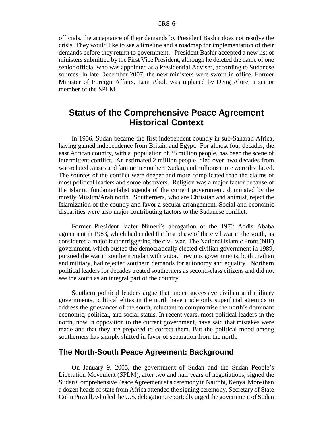officials, the acceptance of their demands by President Bashir does not resolve the crisis. They would like to see a timeline and a roadmap for implementation of their demands before they return to government. President Bashir accepted a new list of ministers submitted by the First Vice President, although he deleted the name of one senior official who was appointed as a Presidential Adviser, according to Sudanese sources. In late December 2007, the new ministers were sworn in office. Former Minister of Foreign Affairs, Lam Akol, was replaced by Deng Alore, a senior member of the SPLM.

# **Status of the Comprehensive Peace Agreement Historical Context**

In 1956, Sudan became the first independent country in sub-Saharan Africa, having gained independence from Britain and Egypt. For almost four decades, the east African country, with a population of 35 million people, has been the scene of intermittent conflict. An estimated 2 million people died over two decades from war-related causes and famine in Southern Sudan, and millions more were displaced. The sources of the conflict were deeper and more complicated than the claims of most political leaders and some observers. Religion was a major factor because of the Islamic fundamentalist agenda of the current government, dominated by the mostly Muslim/Arab north. Southerners, who are Christian and animist, reject the Islamization of the country and favor a secular arrangement. Social and economic disparities were also major contributing factors to the Sudanese conflict.

Former President Jaafer Nimeri's abrogation of the 1972 Addis Ababa agreement in 1983, which had ended the first phase of the civil war in the south, is considered a major factor triggering the civil war. The National Islamic Front (NIF) government, which ousted the democratically elected civilian government in 1989, pursued the war in southern Sudan with vigor. Previous governments, both civilian and military, had rejected southern demands for autonomy and equality. Northern political leaders for decades treated southerners as second-class citizens and did not see the south as an integral part of the country.

Southern political leaders argue that under successive civilian and military governments, political elites in the north have made only superficial attempts to address the grievances of the south, reluctant to compromise the north's dominant economic, political, and social status. In recent years, most political leaders in the north, now in opposition to the current government, have said that mistakes were made and that they are prepared to correct them. But the political mood among southerners has sharply shifted in favor of separation from the north.

#### **The North-South Peace Agreement: Background**

On January 9, 2005, the government of Sudan and the Sudan People's Liberation Movement (SPLM), after two and half years of negotiations, signed the Sudan Comprehensive Peace Agreement at a ceremony in Nairobi, Kenya. More than a dozen heads of state from Africa attended the signing ceremony. Secretary of State Colin Powell, who led the U.S. delegation, reportedly urged the government of Sudan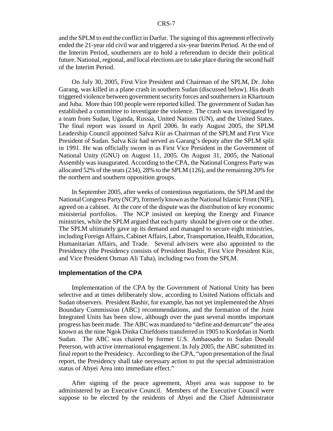and the SPLM to end the conflict in Darfur. The signing of this agreement effectively ended the 21-year old civil war and triggered a six-year Interim Period. At the end of the Interim Period, southerners are to hold a referendum to decide their political future. National, regional, and local elections are to take place during the second half of the Interim Period.

On July 30, 2005, First Vice President and Chairman of the SPLM, Dr. John Garang, was killed in a plane crash in southern Sudan (discussed below). His death triggered violence between government security forces and southerners in Khartoum and Juba. More than 100 people were reported killed. The government of Sudan has established a committee to investigate the violence. The crash was investigated by a team from Sudan, Uganda, Russia, United Nations (UN), and the United States. The final report was issued in April 2006. In early August 2005, the SPLM Leadership Council appointed Salva Kiir as Chairman of the SPLM and First Vice President of Sudan. Salva Kiir had served as Garang's deputy after the SPLM split in 1991. He was officially sworn in as First Vice President in the Government of National Unity (GNU) on August 11, 2005. On August 31, 2005, the National Assembly was inaugurated. According to the CPA, the National Congress Party was allocated 52% of the seats (234), 28% to the SPLM (126), and the remaining 20% for the northern and southern opposition groups.

In September 2005, after weeks of contentious negotiations, the SPLM and the National Congress Party (NCP), formerly known as the National Islamic Front (NIF), agreed on a cabinet. At the core of the dispute was the distribution of key economic ministerial portfolios. The NCP insisted on keeping the Energy and Finance ministries, while the SPLM argued that each party should be given one or the other. The SPLM ultimately gave up its demand and managed to secure eight ministries, including Foreign Affairs, Cabinet Affairs, Labor, Transportation, Health, Education, Humanitarian Affairs, and Trade. Several advisers were also appointed to the Presidency (the Presidency consists of President Bashir, First Vice President Kiir, and Vice President Osman Ali Taha), including two from the SPLM.

#### **Implementation of the CPA**

Implementation of the CPA by the Government of National Unity has been selective and at times deliberately slow, according to United Nations officials and Sudan observers. President Bashir, for example, has not yet implemented the Abyei Boundary Commission (ABC) recommendations, and the formation of the Joint Integrated Units has been slow, although over the past several months important progress has been made. The ABC was mandated to "define and demarcate" the area known as the nine Ngok Dinka Chiefdoms transferred in 1905 to Kordofan in North Sudan. The ABC was chaired by former U.S. Ambassador to Sudan Donald Peterson, with active international engagement. In July 2005, the ABC submitted its final report to the Presidency. According to the CPA, "upon presentation of the final report, the Presidency shall take necessary action to put the special administration status of Abyei Area into immediate effect."

After signing of the peace agreement, Abyei area was suppose to be administered by an Executive Council. Members of the Executive Council were suppose to be elected by the residents of Abyei and the Chief Administrator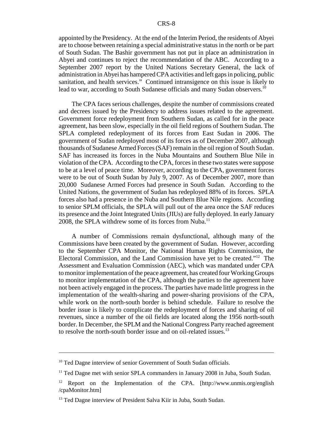appointed by the Presidency. At the end of the Interim Period, the residents of Abyei are to choose between retaining a special administrative status in the north or be part of South Sudan. The Bashir government has not put in place an administration in Abyei and continues to reject the recommendation of the ABC. According to a September 2007 report by the United Nations Secretary General, the lack of administration in Abyei has hampered CPA activities and left gaps in policing, public sanitation, and health services." Continued intransigence on this issue is likely to lead to war, according to South Sudanese officials and many Sudan observers.<sup>10</sup>

The CPA faces serious challenges, despite the number of commissions created and decrees issued by the Presidency to address issues related to the agreement. Government force redeployment from Southern Sudan, as called for in the peace agreement, has been slow, especially in the oil field regions of Southern Sudan. The SPLA completed redeployment of its forces from East Sudan in 2006. The government of Sudan redeployed most of its forces as of December 2007, although thousands of Sudanese Armed Forces (SAF) remain in the oil region of South Sudan. SAF has increased its forces in the Nuba Mountains and Southern Blue Nile in violation of the CPA. According to the CPA, forces in these two states were suppose to be at a level of peace time. Moreover, according to the CPA, government forces were to be out of South Sudan by July 9, 2007. As of December 2007, more than 20,000 Sudanese Armed Forces had presence in South Sudan. According to the United Nations, the government of Sudan has redeployed 88% of its forces. SPLA forces also had a presence in the Nuba and Southern Blue Nile regions. According to senior SPLM officials, the SPLA will pull out of the area once the SAF reduces its presence and the Joint Integrated Units (JIUs) are fully deployed. In early January 2008, the SPLA withdrew some of its forces from Nuba.<sup>11</sup>

A number of Commissions remain dysfunctional, although many of the Commissions have been created by the government of Sudan. However, according to the September CPA Monitor, the National Human Rights Commission, the Electoral Commission, and the Land Commission have yet to be created."12 The Assessment and Evaluation Commission (AEC), which was mandated under CPA to monitor implementation of the peace agreement, has created four Working Groups to monitor implementation of the CPA, although the parties to the agreement have not been actively engaged in the process. The parties have made little progress in the implementation of the wealth-sharing and power-sharing provisions of the CPA, while work on the north-south border is behind schedule. Failure to resolve the border issue is likely to complicate the redeployment of forces and sharing of oil revenues, since a number of the oil fields are located along the 1956 north-south border. In December, the SPLM and the National Congress Party reached agreement to resolve the north-south border issue and on oil-related issues.<sup>13</sup>

<sup>&</sup>lt;sup>10</sup> Ted Dagne interview of senior Government of South Sudan officials.

<sup>&</sup>lt;sup>11</sup> Ted Dagne met with senior SPLA commanders in January 2008 in Juba, South Sudan.

<sup>&</sup>lt;sup>12</sup> Report on the Implementation of the CPA. [http://www.unmis.org/english /cpaMonitor.htm]

<sup>&</sup>lt;sup>13</sup> Ted Dagne interview of President Salva Kiir in Juba, South Sudan.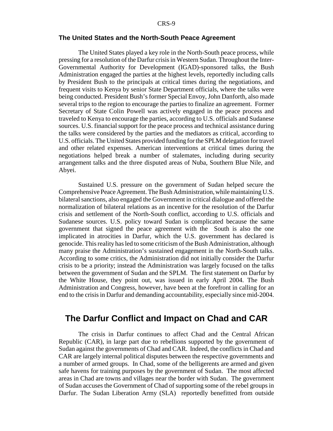#### **The United States and the North-South Peace Agreement**

The United States played a key role in the North-South peace process, while pressing for a resolution of the Darfur crisis in Western Sudan. Throughout the Inter-Governmental Authority for Development (IGAD)-sponsored talks, the Bush Administration engaged the parties at the highest levels, reportedly including calls by President Bush to the principals at critical times during the negotiations, and frequent visits to Kenya by senior State Department officials, where the talks were being conducted. President Bush's former Special Envoy, John Danforth, also made several trips to the region to encourage the parties to finalize an agreement. Former Secretary of State Colin Powell was actively engaged in the peace process and traveled to Kenya to encourage the parties, according to U.S. officials and Sudanese sources. U.S. financial support for the peace process and technical assistance during the talks were considered by the parties and the mediators as critical, according to U.S. officials. The United States provided funding for the SPLM delegation for travel and other related expenses. American interventions at critical times during the negotiations helped break a number of stalemates, including during security arrangement talks and the three disputed areas of Nuba, Southern Blue Nile, and Abyei.

Sustained U.S. pressure on the government of Sudan helped secure the Comprehensive Peace Agreement. The Bush Administration, while maintaining U.S. bilateral sanctions, also engaged the Government in critical dialogue and offered the normalization of bilateral relations as an incentive for the resolution of the Darfur crisis and settlement of the North-South conflict, according to U.S. officials and Sudanese sources. U.S. policy toward Sudan is complicated because the same government that signed the peace agreement with the South is also the one implicated in atrocities in Darfur, which the U.S. government has declared is genocide. This reality has led to some criticism of the Bush Administration, although many praise the Administration's sustained engagement in the North-South talks. According to some critics, the Administration did not initially consider the Darfur crisis to be a priority; instead the Administration was largely focused on the talks between the government of Sudan and the SPLM. The first statement on Darfur by the White House, they point out, was issued in early April 2004. The Bush Administration and Congress, however, have been at the forefront in calling for an end to the crisis in Darfur and demanding accountability, especially since mid-2004.

# **The Darfur Conflict and Impact on Chad and CAR**

The crisis in Darfur continues to affect Chad and the Central African Republic (CAR), in large part due to rebellions supported by the government of Sudan against the governments of Chad and CAR. Indeed, the conflicts in Chad and CAR are largely internal political disputes between the respective governments and a number of armed groups. In Chad, some of the belligerents are armed and given safe havens for training purposes by the government of Sudan. The most affected areas in Chad are towns and villages near the border with Sudan. The government of Sudan accuses the Government of Chad of supporting some of the rebel groups in Darfur. The Sudan Liberation Army (SLA) reportedly benefitted from outside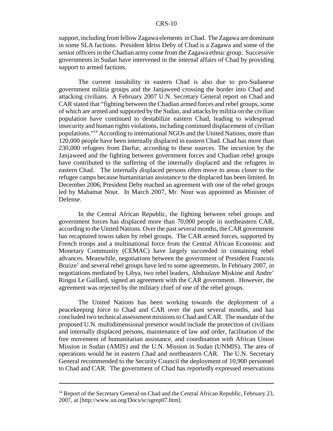support, including from fellow Zagawa elements in Chad. The Zagawa are dominant in some SLA factions. President Idriss Deby of Chad is a Zagawa and some of the senior officers in the Chadian army come from the Zagawa ethnic group. Successive governments in Sudan have intervened in the internal affairs of Chad by providing support to armed factions.

The current instability in eastern Chad is also due to pro-Sudanese government militia groups and the Janjaweed crossing the border into Chad and attacking civilians. A February 2007 U.N. Secretary General report on Chad and CAR stated that "fighting between the Chadian armed forces and rebel groups, some of which are armed and supported by the Sudan, and attacks by militia on the civilian population have continued to destabilize eastern Chad, leading to widespread insecurity and human rights violations, including continued displacement of civilian populations."14 According to international NGOs and the United Nations, more than 120,000 people have been internally displaced in eastern Chad. Chad has more than 230,000 refugees from Darfur, according to these sources. The incursion by the Janjaweed and the fighting between government forces and Chadian rebel groups have contributed to the suffering of the internally displaced and the refugees in eastern Chad. The internally displaced persons often move to areas closer to the refugee camps because humanitarian assistance to the displaced has been limited. In December 2006, President Deby reached an agreement with one of the rebel groups led by Mahamat Nour. In March 2007, Mr. Nour was appointed as Minister of Defense.

In the Central African Republic, the fighting between rebel groups and government forces has displaced more than 70,000 people in northeastern CAR, according to the United Nations. Over the past several months, the CAR government has recaptured towns taken by rebel groups. The CAR armed forces, supported by French troops and a multinational force from the Central African Economic and Monetary Community (CEMAC) have largely succeeded in containing rebel advances. Meanwhile, negotiations between the government of President Francois Bozize' and several rebel groups have led to some agreements. In February 2007, in negotiations mediated by Libya, two rebel leaders, Abdoulaye Miskine and Andre' Ringui Le Gaillard, signed an agreement with the CAR government. However, the agreement was rejected by the military chief of one of the rebel groups.

The United Nations has been working towards the deployment of a peacekeeping force to Chad and CAR over the past several months, and has concluded two technical assessment missions to Chad and CAR. The mandate of the proposed U.N. multidimensional presence would include the protection of civilians and internally displaced persons, maintenance of law and order, facilitation of the free movement of humanitarian assistance, and coordination with African Union Mission in Sudan (AMIS) and the U.N. Mission in Sudan (UNMIS). The area of operations would be in eastern Chad and northeastern CAR. The U.N. Secretary General recommended to the Security Council the deployment of 10,900 personnel to Chad and CAR. The government of Chad has reportedly expressed reservations

<sup>&</sup>lt;sup>14</sup> Report of the Secretary General on Chad and the Central African Republic, February 23, 2007, at [http://www.un.org/Docs/sc/sgrep07.htm].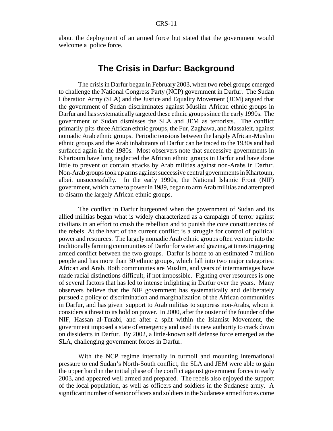about the deployment of an armed force but stated that the government would welcome a police force.

# **The Crisis in Darfur: Background**

The crisis in Darfur began in February 2003, when two rebel groups emerged to challenge the National Congress Party (NCP) government in Darfur. The Sudan Liberation Army (SLA) and the Justice and Equality Movement (JEM) argued that the government of Sudan discriminates against Muslim African ethnic groups in Darfur and has systematically targeted these ethnic groups since the early 1990s. The government of Sudan dismisses the SLA and JEM as terrorists. The conflict primarily pits three African ethnic groups, the Fur, Zaghawa, and Massaleit, against nomadic Arab ethnic groups. Periodic tensions between the largely African-Muslim ethnic groups and the Arab inhabitants of Darfur can be traced to the 1930s and had surfaced again in the 1980s. Most observers note that successive governments in Khartoum have long neglected the African ethnic groups in Darfur and have done little to prevent or contain attacks by Arab militias against non-Arabs in Darfur. Non-Arab groups took up arms against successive central governments in Khartoum, albeit unsuccessfully. In the early 1990s, the National Islamic Front (NIF) government, which came to power in 1989, began to arm Arab militias and attempted to disarm the largely African ethnic groups.

The conflict in Darfur burgeoned when the government of Sudan and its allied militias began what is widely characterized as a campaign of terror against civilians in an effort to crush the rebellion and to punish the core constituencies of the rebels. At the heart of the current conflict is a struggle for control of political power and resources. The largely nomadic Arab ethnic groups often venture into the traditionally farming communities of Darfur for water and grazing, at times triggering armed conflict between the two groups. Darfur is home to an estimated 7 million people and has more than 30 ethnic groups, which fall into two major categories: African and Arab. Both communities are Muslim, and years of intermarriages have made racial distinctions difficult, if not impossible. Fighting over resources is one of several factors that has led to intense infighting in Darfur over the years. Many observers believe that the NIF government has systematically and deliberately pursued a policy of discrimination and marginalization of the African communities in Darfur, and has given support to Arab militias to suppress non-Arabs, whom it considers a threat to its hold on power. In 2000, after the ouster of the founder of the NIF, Hassan al-Turabi, and after a split within the Islamist Movement, the government imposed a state of emergency and used its new authority to crack down on dissidents in Darfur. By 2002, a little-known self defense force emerged as the SLA, challenging government forces in Darfur.

With the NCP regime internally in turmoil and mounting international pressure to end Sudan's North-South conflict, the SLA and JEM were able to gain the upper hand in the initial phase of the conflict against government forces in early 2003, and appeared well armed and prepared. The rebels also enjoyed the support of the local population, as well as officers and soldiers in the Sudanese army. A significant number of senior officers and soldiers in the Sudanese armed forces come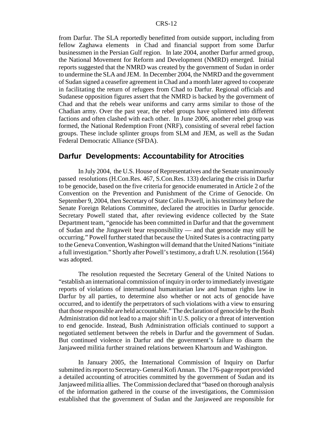from Darfur. The SLA reportedly benefitted from outside support, including from fellow Zaghawa elements in Chad and financial support from some Darfur businessmen in the Persian Gulf region. In late 2004, another Darfur armed group, the National Movement for Reform and Development (NMRD) emerged. Initial reports suggested that the NMRD was created by the government of Sudan in order to undermine the SLA and JEM. In December 2004, the NMRD and the government of Sudan signed a ceasefire agreement in Chad and a month later agreed to cooperate in facilitating the return of refugees from Chad to Darfur. Regional officials and Sudanese opposition figures assert that the NMRD is backed by the government of Chad and that the rebels wear uniforms and carry arms similar to those of the Chadian army. Over the past year, the rebel groups have splintered into different factions and often clashed with each other. In June 2006, another rebel group was formed, the National Redemption Front (NRF), consisting of several rebel faction groups. These include splinter groups from SLM and JEM, as well as the Sudan Federal Democratic Alliance (SFDA).

#### **Darfur Developments: Accountability for Atrocities**

In July 2004, the U.S. House of Representatives and the Senate unanimously passed resolutions (H.Con.Res. 467, S.Con.Res. 133) declaring the crisis in Darfur to be genocide, based on the five criteria for genocide enumerated in Article 2 of the Convention on the Prevention and Punishment of the Crime of Genocide. On September 9, 2004, then Secretary of State Colin Powell, in his testimony before the Senate Foreign Relations Committee, declared the atrocities in Darfur genocide. Secretary Powell stated that, after reviewing evidence collected by the State Department team, "genocide has been committed in Darfur and that the government of Sudan and the Jingaweit bear responsibility — and that genocide may still be occurring." Powell further stated that because the United States is a contracting party to the Geneva Convention, Washington will demand that the United Nations "initiate a full investigation." Shortly after Powell's testimony, a draft U.N. resolution (1564) was adopted.

The resolution requested the Secretary General of the United Nations to "establish an international commission of inquiry in order to immediately investigate reports of violations of international humanitarian law and human rights law in Darfur by all parties, to determine also whether or not acts of genocide have occurred, and to identify the perpetrators of such violations with a view to ensuring that those responsible are held accountable." The declaration of genocide by the Bush Administration did not lead to a major shift in U.S. policy or a threat of intervention to end genocide. Instead, Bush Administration officials continued to support a negotiated settlement between the rebels in Darfur and the government of Sudan. But continued violence in Darfur and the government's failure to disarm the Janjaweed militia further strained relations between Khartoum and Washington.

In January 2005, the International Commission of Inquiry on Darfur submitted its report to Secretary- General Kofi Annan. The 176-page report provided a detailed accounting of atrocities committed by the government of Sudan and its Janjaweed militia allies. The Commission declared that "based on thorough analysis of the information gathered in the course of the investigations, the Commission established that the government of Sudan and the Janjaweed are responsible for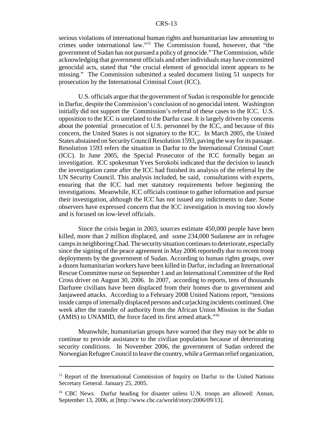serious violations of international human rights and humanitarian law amounting to crimes under international law."15 The Commission found, however, that "the government of Sudan has not pursued a policy of genocide." The Commission, while acknowledging that government officials and other individuals may have committed genocidal acts, stated that "the crucial element of genocidal intent appears to be missing." The Commission submitted a sealed document listing 51 suspects for prosecution by the International Criminal Court (ICC).

U.S. officials argue that the government of Sudan is responsible for genocide in Darfur, despite the Commission's conclusion of no genocidal intent. Washington initially did not support the Commission's referral of these cases to the ICC. U.S. opposition to the ICC is unrelated to the Darfur case. It is largely driven by concerns about the potential prosecution of U.S. personnel by the ICC, and because of this concern, the United States is not signatory to the ICC. In March 2005, the United States abstained on Security Council Resolution 1593, paving the way for its passage. Resolution 1593 refers the situation in Darfur to the International Criminal Court (ICC). In June 2005, the Special Prosecutor of the ICC formally began an investigation. ICC spokesman Yves Sorokobi indicated that the decision to launch the investigation came after the ICC had finished its analysis of the referral by the UN Security Council. This analysis included, he said, consultations with experts, ensuring that the ICC had met statutory requirements before beginning the investigations. Meanwhile, ICC officials continue to gather information and pursue their investigation, although the ICC has not issued any indictments to date. Some observers have expressed concern that the ICC investigation is moving too slowly and is focused on low-level officials.

Since the crisis began in 2003, sources estimate 450,000 people have been killed, more than 2 million displaced, and some 234,000 Sudanese are in refugee camps in neighboring Chad. The security situation continues to deteriorate, especially since the signing of the peace agreement in May 2006 reportedly due to recent troop deployments by the government of Sudan. According to human rights groups, over a dozen humanitarian workers have been killed in Darfur, including an International Rescue Committee nurse on September 1 and an International Committee of the Red Cross driver on August 30, 2006. In 2007, according to reports, tens of thousands Darfuree civilians have been displaced from their homes due to government and Janjaweed attacks. According to a February 2008 United Nations report, "tensions inside camps of internally displaced persons and carjacking incidents continued. One week after the transfer of authority from the African Union Mission in the Sudan (AMIS) to UNAMID, the force faced its first armed attack."16

Meanwhile, humanitarian groups have warned that they may not be able to continue to provide assistance to the civilian population because of deteriorating security conditions. In November 2006, the government of Sudan ordered the Norwegian Refugee Council to leave the country, while a German relief organization,

<sup>&</sup>lt;sup>15</sup> Report of the International Commission of Inquiry on Darfur to the United Nations Secretary General. January 25, 2005.

<sup>&</sup>lt;sup>16</sup> CBC News. Darfur heading for disaster unless U.N. troops are allowed: Annan, September 13, 2006, at [http://www.cbc.ca/world/story/2006/09/13].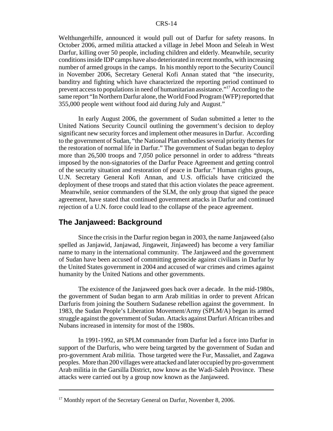Welthungerhilfe, announced it would pull out of Darfur for safety reasons. In October 2006, armed militia attacked a village in Jebel Moon and Seleah in West Darfur, killing over 50 people, including children and elderly. Meanwhile, security conditions inside IDP camps have also deteriorated in recent months, with increasing number of armed groups in the camps. In his monthly report to the Security Council in November 2006, Secretary General Kofi Annan stated that "the insecurity, banditry and fighting which have characterized the reporting period continued to prevent access to populations in need of humanitarian assistance."17 According to the same report "In Northern Darfur alone, the World Food Program (WFP) reported that 355,000 people went without food aid during July and August."

In early August 2006, the government of Sudan submitted a letter to the United Nations Security Council outlining the government's decision to deploy significant new security forces and implement other measures in Darfur. According to the government of Sudan, "the National Plan embodies several priority themes for the restoration of normal life in Darfur." The government of Sudan began to deploy more than 26,500 troops and 7,050 police personnel in order to address "threats imposed by the non-signatories of the Darfur Peace Agreement and getting control of the security situation and restoration of peace in Darfur." Human rights groups, U.N. Secretary General Kofi Annan, and U.S. officials have criticized the deployment of these troops and stated that this action violates the peace agreement. Meanwhile, senior commanders of the SLM, the only group that signed the peace agreement, have stated that continued government attacks in Darfur and continued rejection of a U.N. force could lead to the collapse of the peace agreement.

### **The Janjaweed: Background**

Since the crisis in the Darfur region began in 2003, the name Janjaweed (also spelled as Janjawid, Janjawad, Jingaweit, Jinjaweed) has become a very familiar name to many in the international community. The Janjaweed and the government of Sudan have been accused of committing genocide against civilians in Darfur by the United States government in 2004 and accused of war crimes and crimes against humanity by the United Nations and other governments.

The existence of the Janjaweed goes back over a decade. In the mid-1980s, the government of Sudan began to arm Arab militias in order to prevent African Darfuris from joining the Southern Sudanese rebellion against the government. In 1983, the Sudan People's Liberation Movement/Army (SPLM/A) began its armed struggle against the government of Sudan. Attacks against Darfuri African tribes and Nubans increased in intensity for most of the 1980s.

In 1991-1992, an SPLM commander from Darfur led a force into Darfur in support of the Darfuris, who were being targeted by the government of Sudan and pro-government Arab militia. Those targeted were the Fur, Massaliet, and Zagawa peoples. More than 200 villages were attacked and later occupied by pro-government Arab militia in the Garsilla District, now know as the Wadi-Saleh Province. These attacks were carried out by a group now known as the Janjaweed.

<sup>&</sup>lt;sup>17</sup> Monthly report of the Secretary General on Darfur, November 8, 2006.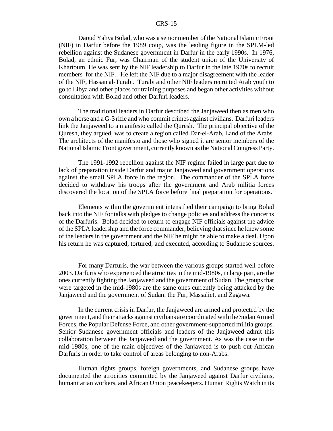Daoud Yahya Bolad, who was a senior member of the National Islamic Front (NIF) in Darfur before the 1989 coup, was the leading figure in the SPLM-led rebellion against the Sudanese government in Darfur in the early 1990s. In 1976, Bolad, an ethnic Fur, was Chairman of the student union of the University of Khartoum. He was sent by the NIF leadership to Darfur in the late 1970s to recruit members for the NIF. He left the NIF due to a major disagreement with the leader of the NIF, Hassan al-Turabi. Turabi and other NIF leaders recruited Arab youth to go to Libya and other places for training purposes and began other activities without consultation with Bolad and other Darfuri leaders.

The traditional leaders in Darfur described the Janjaweed then as men who own a horse and a G-3 rifle and who commit crimes against civilians. Darfuri leaders link the Janjaweed to a manifesto called the Quresh. The principal objective of the Quresh, they argued, was to create a region called Dar-el-Arab, Land of the Arabs. The architects of the manifesto and those who signed it are senior members of the National Islamic Front government, currently known as the National Congress Party.

The 1991-1992 rebellion against the NIF regime failed in large part due to lack of preparation inside Darfur and major Janjaweed and government operations against the small SPLA force in the region. The commander of the SPLA force decided to withdraw his troops after the government and Arab militia forces discovered the location of the SPLA force before final preparation for operations.

Elements within the government intensified their campaign to bring Bolad back into the NIF for talks with pledges to change policies and address the concerns of the Darfuris. Bolad decided to return to engage NIF officials against the advice of the SPLA leadership and the force commander, believing that since he knew some of the leaders in the government and the NIF he might be able to make a deal. Upon his return he was captured, tortured, and executed, according to Sudanese sources.

For many Darfuris, the war between the various groups started well before 2003. Darfuris who experienced the atrocities in the mid-1980s, in large part, are the ones currently fighting the Janjaweed and the government of Sudan. The groups that were targeted in the mid-1980s are the same ones currently being attacked by the Janjaweed and the government of Sudan: the Fur, Massaliet, and Zagawa.

In the current crisis in Darfur, the Janjaweed are armed and protected by the government, and their attacks against civilians are coordinated with the Sudan Armed Forces, the Popular Defense Force, and other government-supported militia groups. Senior Sudanese government officials and leaders of the Janjaweed admit this collaboration between the Janjaweed and the government. As was the case in the mid-1980s, one of the main objectives of the Janjaweed is to push out African Darfuris in order to take control of areas belonging to non-Arabs.

Human rights groups, foreign governments, and Sudanese groups have documented the atrocities committed by the Janjaweed against Darfur civilians, humanitarian workers, and African Union peacekeepers. Human Rights Watch in its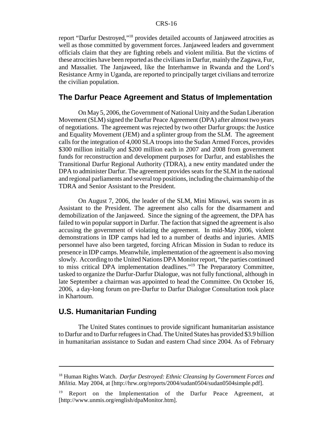report "Darfur Destroyed,"18 provides detailed accounts of Janjaweed atrocities as well as those committed by government forces. Janjaweed leaders and government officials claim that they are fighting rebels and violent militia. But the victims of these atrocities have been reported as the civilians in Darfur, mainly the Zagawa, Fur, and Massaliet. The Janjaweed, like the Interhamwe in Rwanda and the Lord's Resistance Army in Uganda, are reported to principally target civilians and terrorize the civilian population.

#### **The Darfur Peace Agreement and Status of Implementation**

On May 5, 2006, the Government of National Unity and the Sudan Liberation Movement (SLM) signed the Darfur Peace Agreement (DPA) after almost two years of negotiations. The agreement was rejected by two other Darfur groups: the Justice and Equality Movement (JEM) and a splinter group from the SLM. The agreement calls for the integration of 4,000 SLA troops into the Sudan Armed Forces, provides \$300 million initially and \$200 million each in 2007 and 2008 from government funds for reconstruction and development purposes for Darfur, and establishes the Transitional Darfur Regional Authority (TDRA), a new entity mandated under the DPA to administer Darfur. The agreement provides seats for the SLM in the national and regional parliaments and several top positions, including the chairmanship of the TDRA and Senior Assistant to the President.

On August 7, 2006, the leader of the SLM, Mini Minawi, was sworn in as Assistant to the President. The agreement also calls for the disarmament and demobilization of the Janjaweed. Since the signing of the agreement, the DPA has failed to win popular support in Darfur. The faction that signed the agreement is also accusing the government of violating the agreement. In mid-May 2006, violent demonstrations in IDP camps had led to a number of deaths and injuries. AMIS personnel have also been targeted, forcing African Mission in Sudan to reduce its presence in IDP camps. Meanwhile, implementation of the agreement is also moving slowly. According to the United Nations DPA Monitor report, "the parties continued to miss critical DPA implementation deadlines."19 The Preparatory Committee, tasked to organize the Darfur-Darfur Dialogue, was not fully functional, although in late September a chairman was appointed to head the Committee. On October 16, 2006, a day-long forum on pre-Darfur to Darfur Dialogue Consultation took place in Khartoum.

#### **U.S. Humanitarian Funding**

The United States continues to provide significant humanitarian assistance to Darfur and to Darfur refugees in Chad. The United States has provided \$3.9 billion in humanitarian assistance to Sudan and eastern Chad since 2004. As of February

<sup>18</sup> Human Rights Watch. *Darfur Destroyed: Ethnic Cleansing by Government Forces and Militia.* May 2004, at [http://hrw.org/reports/2004/sudan0504/sudan0504simple.pdf].

<sup>&</sup>lt;sup>19</sup> Report on the Implementation of the Darfur Peace Agreement, at [http://www.unmis.org/english/dpaMonitor.htm].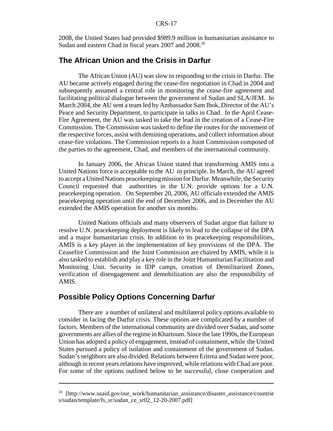2008, the United States had provided \$989.9 million in humanitarian assistance to Sudan and eastern Chad in fiscal years 2007 and 2008.<sup>20</sup>

### **The African Union and the Crisis in Darfur**

The African Union (AU) was slow in responding to the crisis in Darfur. The AU became actively engaged during the cease-fire negotiation in Chad in 2004 and subsequently assumed a central role in monitoring the cease-fire agreement and facilitating political dialogue between the government of Sudan and SLA/JEM. In March 2004, the AU sent a team led by Ambassador Sam Ibok, Director of the AU's Peace and Security Department, to participate in talks in Chad. In the April Cease-Fire Agreement, the AU was tasked to take the lead in the creation of a Cease-Fire Commission. The Commission was tasked to define the routes for the movement of the respective forces, assist with demining operations, and collect information about cease-fire violations. The Commission reports to a Joint Commission composed of the parties to the agreement, Chad, and members of the international community.

In January 2006, the African Union stated that transforming AMIS into a United Nations force is acceptable to the AU in principle. In March, the AU agreed to accept a United Nations peacekeeping mission for Darfur. Meanwhile, the Security Council requested that authorities in the U.N. provide options for a U.N. peacekeeping operation. On September 20, 2006, AU officials extended the AMIS peacekeeping operation until the end of December 2006, and in December the AU extended the AMIS operation for another six months.

United Nations officials and many observers of Sudan argue that failure to resolve U.N. peacekeeping deployment is likely to lead to the collapse of the DPA and a major humanitarian crisis. In addition to its peacekeeping responsibilities, AMIS is a key player in the implementation of key provisions of the DPA. The Ceasefire Commission and the Joint Commission are chaired by AMIS, while it is also tasked to establish and play a key role in the Joint Humanitarian Facilitation and Monitoring Unit. Security in IDP camps, creation of Demilitarized Zones, verification of disengagement and demobilization are also the responsibility of AMIS.

# **Possible Policy Options Concerning Darfur**

There are a number of unilateral and multilateral policy options available to consider in facing the Darfur crisis. These options are complicated by a number of factors. Members of the international community are divided over Sudan, and some governments are allies of the regime in Khartoum. Since the late 1990s, the European Union has adopted a policy of engagement, instead of containment, while the United States pursued a policy of isolation and containment of the government of Sudan. Sudan's neighbors are also divided. Relations between Eritrea and Sudan were poor, although in recent years relations have improved, while relations with Chad are poor. For some of the options outlined below to be successful, close cooperation and

<sup>&</sup>lt;sup>20</sup> [http://www.usaid.gov/our\_work/humanitarian\_assistance/disaster\_assistance/countrie s/sudan/template/fs\_sr/sudan\_ce\_sr02\_12-20-2007.pdf]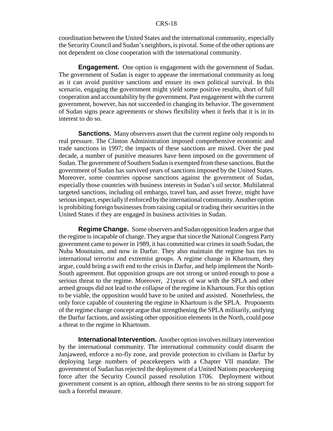coordination between the United States and the international community, especially the Security Council and Sudan's neighbors, is pivotal. Some of the other options are not dependent on close cooperation with the international community.

**Engagement.** One option is engagement with the government of Sudan. The government of Sudan is eager to appease the international community as long as it can avoid punitive sanctions and ensure its own political survival. In this scenario, engaging the government might yield some positive results, short of full cooperation and accountability by the government. Past engagement with the current government, however, has not succeeded in changing its behavior. The government of Sudan signs peace agreements or shows flexibility when it feels that it is in its interest to do so.

**Sanctions.** Many observers assert that the current regime only responds to real pressure. The Clinton Administration imposed comprehensive economic and trade sanctions in 1997; the impacts of these sanctions are mixed. Over the past decade, a number of punitive measures have been imposed on the government of Sudan. The government of Southern Sudan is exempted from these sanctions. But the government of Sudan has survived years of sanctions imposed by the United States. Moreover, some countries oppose sanctions against the government of Sudan, especially those countries with business interests in Sudan's oil sector. Multilateral targeted sanctions, including oil embargo, travel ban, and asset freeze, might have serious impact, especially if enforced by the international community. Another option is prohibiting foreign businesses from raising capital or trading their securities in the United States if they are engaged in business activities in Sudan.

**Regime Change.** Some observers and Sudan opposition leaders argue that the regime is incapable of change. They argue that since the National Congress Party government came to power in 1989, it has committed war crimes in south Sudan, the Nuba Mountains, and now in Darfur. They also maintain the regime has ties to international terrorist and extremist groups. A regime change in Khartoum, they argue, could bring a swift end to the crisis in Darfur, and help implement the North-South agreement. But opposition groups are not strong or united enough to pose a serious threat to the regime. Moreover, 21years of war with the SPLA and other armed groups did not lead to the collapse of the regime in Khartoum. For this option to be viable, the opposition would have to be united and assisted. Nonetheless, the only force capable of countering the regime in Khartoum is the SPLA. Proponents of the regime change concept argue that strengthening the SPLA militarily, unifying the Darfur factions, and assisting other opposition elements in the North, could pose a threat to the regime in Khartoum.

**International Intervention.** Another option involves military intervention by the international community. The international community could disarm the Janjaweed, enforce a no-fly zone, and provide protection to civilians in Darfur by deploying large numbers of peacekeepers with a Chapter VII mandate. The government of Sudan has rejected the deployment of a United Nations peacekeeping force after the Security Council passed resolution 1706. Deployment without government consent is an option, although there seems to be no strong support for such a forceful measure.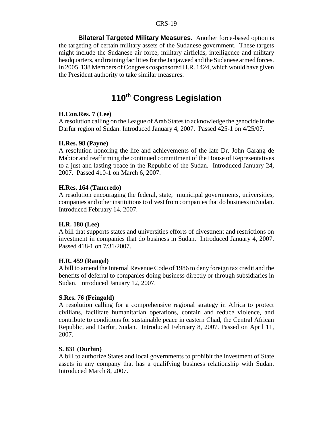**Bilateral Targeted Military Measures.** Another force-based option is the targeting of certain military assets of the Sudanese government. These targets might include the Sudanese air force, military airfields, intelligence and military headquarters, and training facilities for the Janjaweed and the Sudanese armed forces. In 2005, 138 Members of Congress cosponsored H.R. 1424, which would have given the President authority to take similar measures.

# **110th Congress Legislation**

#### **H.Con.Res. 7 (Lee)**

A resolution calling on the League of Arab States to acknowledge the genocide in the Darfur region of Sudan. Introduced January 4, 2007. Passed 425-1 on 4/25/07.

#### **H.Res. 98 (Payne)**

A resolution honoring the life and achievements of the late Dr. John Garang de Mabior and reaffirming the continued commitment of the House of Representatives to a just and lasting peace in the Republic of the Sudan. Introduced January 24, 2007. Passed 410-1 on March 6, 2007.

#### **H.Res. 164 (Tancredo)**

A resolution encouraging the federal, state, municipal governments, universities, companies and other institutions to divest from companies that do business in Sudan. Introduced February 14, 2007.

#### **H.R. 180 (Lee)**

A bill that supports states and universities efforts of divestment and restrictions on investment in companies that do business in Sudan. Introduced January 4, 2007. Passed 418-1 on 7/31/2007.

#### **H.R. 459 (Rangel)**

A bill to amend the Internal Revenue Code of 1986 to deny foreign tax credit and the benefits of deferral to companies doing business directly or through subsidiaries in Sudan. Introduced January 12, 2007.

#### **S.Res. 76 (Feingold)**

A resolution calling for a comprehensive regional strategy in Africa to protect civilians, facilitate humanitarian operations, contain and reduce violence, and contribute to conditions for sustainable peace in eastern Chad, the Central African Republic, and Darfur, Sudan. Introduced February 8, 2007. Passed on April 11, 2007.

#### **S. 831 (Durbin)**

A bill to authorize States and local governments to prohibit the investment of State assets in any company that has a qualifying business relationship with Sudan. Introduced March 8, 2007.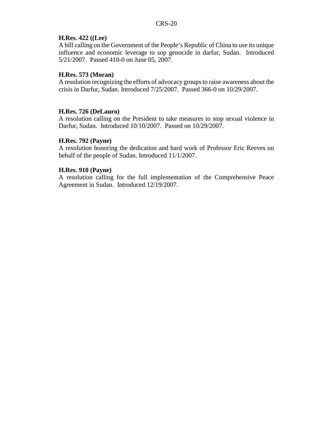#### **H.Res. 422 ((Lee)**

A bill calling on the Government of the People's Republic of China to use its unique influence and economic leverage to sop genocide in darfur, Sudan. Introduced 5/21/2007. Passed 410-0 on June 05, 2007.

#### **H.Res. 573 (Moran)**

A resolution recognizing the efforts of advocacy groups to raise awareness about the crisis in Darfur, Sudan. Introduced 7/25/2007. Passed 366-0 on 10/29/2007.

#### **H.Res. 726 (DeLauro)**

A resolution calling on the President to take measures to stop sexual violence in Darfur, Sudan. Introduced 10/10/2007. Passed on 10/29/2007.

#### **H.Res. 792 (Payne)**

A resolution honoring the dedication and hard work of Professor Eric Reeves on behalf of the people of Sudan. Introduced 11/1/2007.

#### **H.Res. 910 (Payne)**

A resolution calling for the full implementation of the Comprehensive Peace Agreement in Sudan. Introduced 12/19/2007.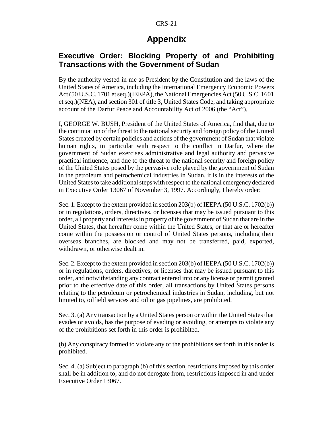# **Appendix**

# **Executive Order: Blocking Property of and Prohibiting Transactions with the Government of Sudan**

By the authority vested in me as President by the Constitution and the laws of the United States of America, including the International Emergency Economic Powers Act (50 U.S.C. 1701 et seq.)(IEEPA), the National Emergencies Act (50 U.S.C. 1601 et seq.)(NEA), and section 301 of title 3, United States Code, and taking appropriate account of the Darfur Peace and Accountability Act of 2006 (the "Act"),

I, GEORGE W. BUSH, President of the United States of America, find that, due to the continuation of the threat to the national security and foreign policy of the United States created by certain policies and actions of the government of Sudan that violate human rights, in particular with respect to the conflict in Darfur, where the government of Sudan exercises administrative and legal authority and pervasive practical influence, and due to the threat to the national security and foreign policy of the United States posed by the pervasive role played by the government of Sudan in the petroleum and petrochemical industries in Sudan, it is in the interests of the United States to take additional steps with respect to the national emergency declared in Executive Order 13067 of November 3, 1997. Accordingly, I hereby order:

Sec. 1. Except to the extent provided in section 203(b) of IEEPA (50 U.S.C. 1702(b)) or in regulations, orders, directives, or licenses that may be issued pursuant to this order, all property and interests in property of the government of Sudan that are in the United States, that hereafter come within the United States, or that are or hereafter come within the possession or control of United States persons, including their overseas branches, are blocked and may not be transferred, paid, exported, withdrawn, or otherwise dealt in.

Sec. 2. Except to the extent provided in section 203(b) of IEEPA (50 U.S.C. 1702(b)) or in regulations, orders, directives, or licenses that may be issued pursuant to this order, and notwithstanding any contract entered into or any license or permit granted prior to the effective date of this order, all transactions by United States persons relating to the petroleum or petrochemical industries in Sudan, including, but not limited to, oilfield services and oil or gas pipelines, are prohibited.

Sec. 3. (a) Any transaction by a United States person or within the United States that evades or avoids, has the purpose of evading or avoiding, or attempts to violate any of the prohibitions set forth in this order is prohibited.

(b) Any conspiracy formed to violate any of the prohibitions set forth in this order is prohibited.

Sec. 4. (a) Subject to paragraph (b) of this section, restrictions imposed by this order shall be in addition to, and do not derogate from, restrictions imposed in and under Executive Order 13067.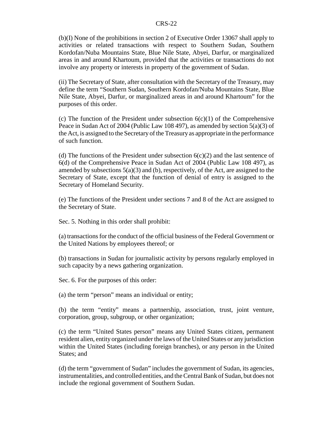(b)(I) None of the prohibitions in section 2 of Executive Order 13067 shall apply to activities or related transactions with respect to Southern Sudan, Southern Kordofan/Nuba Mountains State, Blue Nile State, Abyei, Darfur, or marginalized areas in and around Khartoum, provided that the activities or transactions do not involve any property or interests in property of the government of Sudan.

(ii) The Secretary of State, after consultation with the Secretary of the Treasury, may define the term "Southern Sudan, Southern Kordofan/Nuba Mountains State, Blue Nile State, Abyei, Darfur, or marginalized areas in and around Khartoum" for the purposes of this order.

(c) The function of the President under subsection  $6(c)(1)$  of the Comprehensive Peace in Sudan Act of 2004 (Public Law 108 497), as amended by section 5(a)(3) of the Act, is assigned to the Secretary of the Treasury as appropriate in the performance of such function.

(d) The functions of the President under subsection  $6(c)(2)$  and the last sentence of 6(d) of the Comprehensive Peace in Sudan Act of 2004 (Public Law 108 497), as amended by subsections  $5(a)(3)$  and (b), respectively, of the Act, are assigned to the Secretary of State, except that the function of denial of entry is assigned to the Secretary of Homeland Security.

(e) The functions of the President under sections 7 and 8 of the Act are assigned to the Secretary of State.

Sec. 5. Nothing in this order shall prohibit:

(a) transactions for the conduct of the official business of the Federal Government or the United Nations by employees thereof; or

(b) transactions in Sudan for journalistic activity by persons regularly employed in such capacity by a news gathering organization.

Sec. 6. For the purposes of this order:

(a) the term "person" means an individual or entity;

(b) the term "entity" means a partnership, association, trust, joint venture, corporation, group, subgroup, or other organization;

(c) the term "United States person" means any United States citizen, permanent resident alien, entity organized under the laws of the United States or any jurisdiction within the United States (including foreign branches), or any person in the United States; and

(d) the term "government of Sudan" includes the government of Sudan, its agencies, instrumentalities, and controlled entities, and the Central Bank of Sudan, but does not include the regional government of Southern Sudan.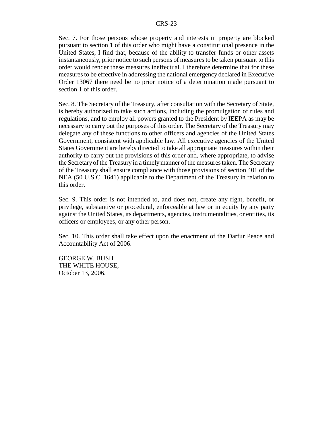Sec. 7. For those persons whose property and interests in property are blocked pursuant to section 1 of this order who might have a constitutional presence in the United States, I find that, because of the ability to transfer funds or other assets instantaneously, prior notice to such persons of measures to be taken pursuant to this order would render these measures ineffectual. I therefore determine that for these measures to be effective in addressing the national emergency declared in Executive Order 13067 there need be no prior notice of a determination made pursuant to section 1 of this order.

Sec. 8. The Secretary of the Treasury, after consultation with the Secretary of State, is hereby authorized to take such actions, including the promulgation of rules and regulations, and to employ all powers granted to the President by IEEPA as may be necessary to carry out the purposes of this order. The Secretary of the Treasury may delegate any of these functions to other officers and agencies of the United States Government, consistent with applicable law. All executive agencies of the United States Government are hereby directed to take all appropriate measures within their authority to carry out the provisions of this order and, where appropriate, to advise the Secretary of the Treasury in a timely manner of the measures taken. The Secretary of the Treasury shall ensure compliance with those provisions of section 401 of the NEA (50 U.S.C. 1641) applicable to the Department of the Treasury in relation to this order.

Sec. 9. This order is not intended to, and does not, create any right, benefit, or privilege, substantive or procedural, enforceable at law or in equity by any party against the United States, its departments, agencies, instrumentalities, or entities, its officers or employees, or any other person.

Sec. 10. This order shall take effect upon the enactment of the Darfur Peace and Accountability Act of 2006.

GEORGE W. BUSH THE WHITE HOUSE, October 13, 2006.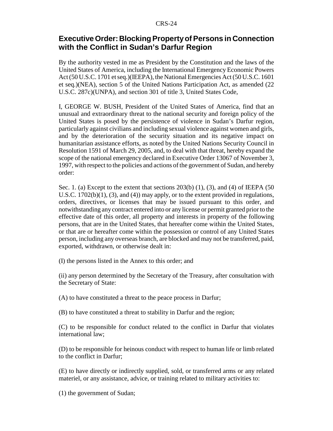# **Executive Order: Blocking Property of Persons in Connection with the Conflict in Sudan's Darfur Region**

By the authority vested in me as President by the Constitution and the laws of the United States of America, including the International Emergency Economic Powers Act (50 U.S.C. 1701 et seq.)(IEEPA), the National Emergencies Act (50 U.S.C. 1601 et seq.)(NEA), section 5 of the United Nations Participation Act, as amended (22 U.S.C. 287c)(UNPA), and section 301 of title 3, United States Code,

I, GEORGE W. BUSH, President of the United States of America, find that an unusual and extraordinary threat to the national security and foreign policy of the United States is posed by the persistence of violence in Sudan's Darfur region, particularly against civilians and including sexual violence against women and girls, and by the deterioration of the security situation and its negative impact on humanitarian assistance efforts, as noted by the United Nations Security Council in Resolution 1591 of March 29, 2005, and, to deal with that threat, hereby expand the scope of the national emergency declared in Executive Order 13067 of November 3, 1997, with respect to the policies and actions of the government of Sudan, and hereby order:

Sec. 1. (a) Except to the extent that sections  $203(b)$  (1), (3), and (4) of IEEPA (50) U.S.C. 1702(b)(1), (3), and (4)) may apply, or to the extent provided in regulations, orders, directives, or licenses that may be issued pursuant to this order, and notwithstanding any contract entered into or any license or permit granted prior to the effective date of this order, all property and interests in property of the following persons, that are in the United States, that hereafter come within the United States, or that are or hereafter come within the possession or control of any United States person, including any overseas branch, are blocked and may not be transferred, paid, exported, withdrawn, or otherwise dealt in:

(I) the persons listed in the Annex to this order; and

(ii) any person determined by the Secretary of the Treasury, after consultation with the Secretary of State:

(A) to have constituted a threat to the peace process in Darfur;

(B) to have constituted a threat to stability in Darfur and the region;

(C) to be responsible for conduct related to the conflict in Darfur that violates international law;

(D) to be responsible for heinous conduct with respect to human life or limb related to the conflict in Darfur;

(E) to have directly or indirectly supplied, sold, or transferred arms or any related materiel, or any assistance, advice, or training related to military activities to:

(1) the government of Sudan;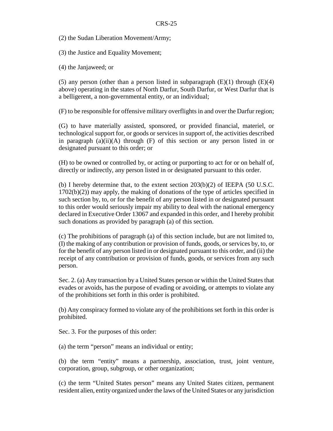(2) the Sudan Liberation Movement/Army;

(3) the Justice and Equality Movement;

(4) the Janjaweed; or

(5) any person (other than a person listed in subparagraph  $(E)(1)$  through  $(E)(4)$ above) operating in the states of North Darfur, South Darfur, or West Darfur that is a belligerent, a non-governmental entity, or an individual;

(F) to be responsible for offensive military overflights in and over the Darfur region;

(G) to have materially assisted, sponsored, or provided financial, materiel, or technological support for, or goods or services in support of, the activities described in paragraph (a)(ii)(A) through (F) of this section or any person listed in or designated pursuant to this order; or

(H) to be owned or controlled by, or acting or purporting to act for or on behalf of, directly or indirectly, any person listed in or designated pursuant to this order.

(b) I hereby determine that, to the extent section  $203(b)(2)$  of IEEPA (50 U.S.C. 1702(b)(2)) may apply, the making of donations of the type of articles specified in such section by, to, or for the benefit of any person listed in or designated pursuant to this order would seriously impair my ability to deal with the national emergency declared in Executive Order 13067 and expanded in this order, and I hereby prohibit such donations as provided by paragraph (a) of this section.

(c) The prohibitions of paragraph (a) of this section include, but are not limited to, (I) the making of any contribution or provision of funds, goods, or services by, to, or for the benefit of any person listed in or designated pursuant to this order, and (ii) the receipt of any contribution or provision of funds, goods, or services from any such person.

Sec. 2. (a) Any transaction by a United States person or within the United States that evades or avoids, has the purpose of evading or avoiding, or attempts to violate any of the prohibitions set forth in this order is prohibited.

(b) Any conspiracy formed to violate any of the prohibitions set forth in this order is prohibited.

Sec. 3. For the purposes of this order:

(a) the term "person" means an individual or entity;

(b) the term "entity" means a partnership, association, trust, joint venture, corporation, group, subgroup, or other organization;

(c) the term "United States person" means any United States citizen, permanent resident alien, entity organized under the laws of the United States or any jurisdiction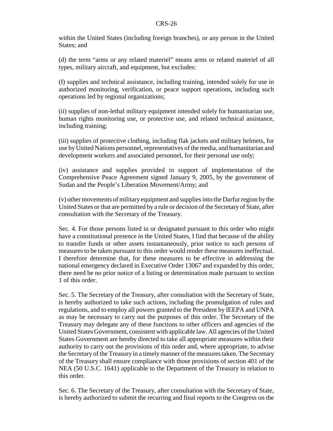within the United States (including foreign branches), or any person in the United States; and

(d) the term "arms or any related materiel" means arms or related materiel of all types, military aircraft, and equipment, but excludes:

(I) supplies and technical assistance, including training, intended solely for use in authorized monitoring, verification, or peace support operations, including such operations led by regional organizations;

(ii) supplies of non-lethal military equipment intended solely for humanitarian use, human rights monitoring use, or protective use, and related technical assistance, including training;

(iii) supplies of protective clothing, including flak jackets and military helmets, for use by United Nations personnel, representatives of the media, and humanitarian and development workers and associated personnel, for their personal use only;

(iv) assistance and supplies provided in support of implementation of the Comprehensive Peace Agreement signed January 9, 2005, by the government of Sudan and the People's Liberation Movement/Army; and

(v) other movements of military equipment and supplies into the Darfur region by the United States or that are permitted by a rule or decision of the Secretary of State, after consultation with the Secretary of the Treasury.

Sec. 4. For those persons listed in or designated pursuant to this order who might have a constitutional presence in the United States, I find that because of the ability to transfer funds or other assets instantaneously, prior notice to such persons of measures to be taken pursuant to this order would render these measures ineffectual. I therefore determine that, for these measures to be effective in addressing the national emergency declared in Executive Order 13067 and expanded by this order, there need be no prior notice of a listing or determination made pursuant to section 1 of this order.

Sec. 5. The Secretary of the Treasury, after consultation with the Secretary of State, is hereby authorized to take such actions, including the promulgation of rules and regulations, and to employ all powers granted to the President by IEEPA and UNPA as may be necessary to carry out the purposes of this order. The Secretary of the Treasury may delegate any of these functions to other officers and agencies of the United States Government, consistent with applicable law. All agencies of the United States Government are hereby directed to take all appropriate measures within their authority to carry out the provisions of this order and, where appropriate, to advise the Secretary of the Treasury in a timely manner of the measures taken. The Secretary of the Treasury shall ensure compliance with those provisions of section 401 of the NEA (50 U.S.C. 1641) applicable to the Department of the Treasury in relation to this order.

Sec. 6. The Secretary of the Treasury, after consultation with the Secretary of State, is hereby authorized to submit the recurring and final reports to the Congress on the